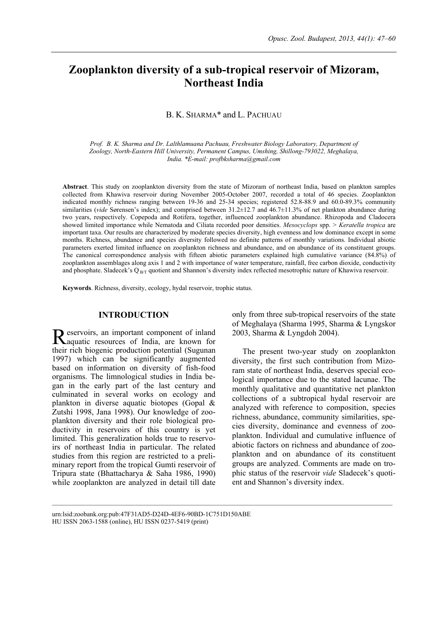# **Zooplankton diversity of a sub-tropical reservoir of Mizoram, Northeast India**

B. K. SHARMA\* and L. PACHUAU

*Prof. B. K. Sharma and Dr. Lalthlamuana Pachuau, Freshwater Biology Laboratory, Department of Zoology, North-Eastern Hill University, Permanent Campus, Umshing, Shillong-793022, Meghalaya, India. \*E-mail: profbksharma@gmail.com* 

**Abstract**. This study on zooplankton diversity from the state of Mizoram of northeast India, based on plankton samples collected from Khawiva reservoir during November 2005-October 2007, recorded a total of 46 species. Zooplankton indicated monthly richness ranging between 19-36 and 25-34 species; registered 52.8-88.9 and 60.0-89.3% community similarities (*vide* Sørensen's index); and comprised between 31.2±12.7 and 46.7±11.3% of net plankton abundance during two years, respectively. Copepoda and Rotifera, together, influenced zooplankton abundance. Rhizopoda and Cladocera showed limited importance while Nematoda and Ciliata recorded poor densities. *Mesocyclops* spp. > *Keratella tropica* are important taxa. Our results are characterized by moderate species diversity, high evenness and low dominance except in some months. Richness, abundance and species diversity followed no definite patterns of monthly variations. Individual abiotic parameters exerted limited influence on zooplankton richness and abundance, and on abundance of its constituent groups. The canonical correspondence analysis with fifteen abiotic parameters explained high cumulative variance (84.8%) of zooplankton assemblages along axis 1 and 2 with importance of water temperature, rainfall, free carbon dioxide, conductivity and phosphate. Sladecek's Q  $_{\rm BT}$  quotient and Shannon's diversity index reflected mesotrophic nature of Khawiva reservoir.

 $\mathcal{L}_\text{max}$ 

**Keywords**. Richness, diversity, ecology, hydal reservoir, trophic status.

## **INTRODUCTION**

eservoirs, an important component of inland Reservoirs, an important component of inland<br>
Raquatic resources of India, are known for their rich biogenic production potential (Sugunan 1997) which can be significantly augmented based on information on diversity of fish-food organisms. The limnological studies in India began in the early part of the last century and culminated in several works on ecology and plankton in diverse aquatic biotopes (Gopal & Zutshi 1998, Jana 1998). Our knowledge of zooplankton diversity and their role biological productivity in reservoirs of this country is yet limited. This generalization holds true to reservoirs of northeast India in particular. The related studies from this region are restricted to a preliminary report from the tropical Gumti reservoir of Tripura state (Bhattacharya & Saha 1986, 1990) while zooplankton are analyzed in detail till date

only from three sub-tropical reservoirs of the state of Meghalaya (Sharma 1995, Sharma & Lyngskor 2003, Sharma & Lyngdoh 2004).

The present two-year study on zooplankton diversity, the first such contribution from Mizoram state of northeast India, deserves special ecological importance due to the stated lacunae. The monthly qualitative and quantitative net plankton collections of a subtropical hydal reservoir are analyzed with reference to composition, species richness, abundance, community similarities, species diversity, dominance and evenness of zooplankton. Individual and cumulative influence of abiotic factors on richness and abundance of zooplankton and on abundance of its constituent groups are analyzed. Comments are made on trophic status of the reservoir *vide* Sladecek's quotient and Shannon's diversity index.

urn:lsid:zoobank.org:pub:47F31AD5-D24D-4EF6-90BD-1C751D150ABE HU ISSN 2063-1588 (online), HU ISSN 0237-5419 (print)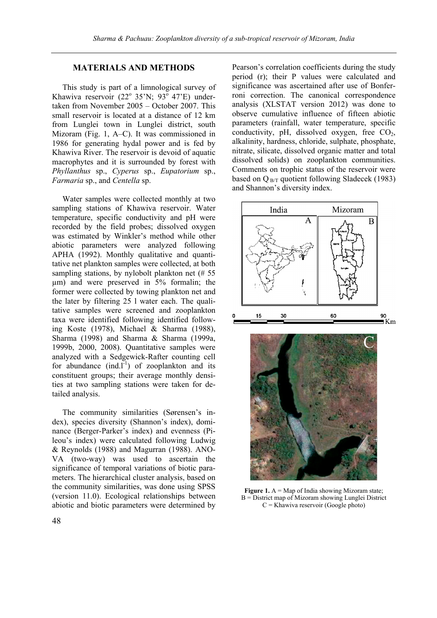# **MATERIALS AND METHODS**

This study is part of a limnological survey of Khawiva reservoir  $(22^{\circ} 35^{\prime} N; 93^{\circ} 47^{\prime} E)$  undertaken from November 2005 – October 2007. This small reservoir is located at a distance of 12 km from Lunglei town in Lunglei district, south Mizoram (Fig. 1, A–C). It was commissioned in 1986 for generating hydal power and is fed by Khawiva River. The reservoir is devoid of aquatic macrophytes and it is surrounded by forest with *Phyllanthus* sp., *Cyperus* sp., *Eupatorium* sp., *Farmaria* sp., and *Centella* sp.

Water samples were collected monthly at two sampling stations of Khawiva reservoir. Water temperature, specific conductivity and pH were recorded by the field probes; dissolved oxygen was estimated by Winkler's method while other abiotic parameters were analyzed following APHA (1992). Monthly qualitative and quantitative net plankton samples were collected, at both sampling stations, by nylobolt plankton net (# 55 µm) and were preserved in 5% formalin; the former were collected by towing plankton net and the later by filtering 25 l water each. The qualitative samples were screened and zooplankton taxa were identified following identified following Koste (1978), Michael & Sharma (1988), Sharma (1998) and Sharma & Sharma (1999a, 1999b, 2000, 2008). Quantitative samples were analyzed with a Sedgewick-Rafter counting cell for abundance  $(ind.1^{-1})$  of zooplankton and its constituent groups; their average monthly densities at two sampling stations were taken for detailed analysis.

The community similarities (Sørensen's index), species diversity (Shannon's index), dominance (Berger-Parker's index) and evenness (Pileou's index) were calculated following Ludwig & Reynolds (1988) and Magurran (1988). ANO-VA (two-way) was used to ascertain the significance of temporal variations of biotic parameters. The hierarchical cluster analysis, based on the community similarities, was done using SPSS (version 11.0). Ecological relationships between abiotic and biotic parameters were determined by Pearson's correlation coefficients during the study period (r); their P values were calculated and significance was ascertained after use of Bonferroni correction. The canonical correspondence analysis (XLSTAT version 2012) was done to observe cumulative influence of fifteen abiotic parameters (rainfall, water temperature, specific conductivity, pH, dissolved oxygen, free  $CO<sub>2</sub>$ , alkalinity, hardness, chloride, sulphate, phosphate, nitrate, silicate, dissolved organic matter and total dissolved solids) on zooplankton communities. Comments on trophic status of the reservoir were based on  $Q_{\text{B/T}}$  quotient following Sladecek (1983) and Shannon's diversity index.





**Figure 1.**  $A =$  Map of India showing Mizoram state; B = District map of Mizoram showing Lunglei District  $C =$ Khawiva reservoir (Google photo)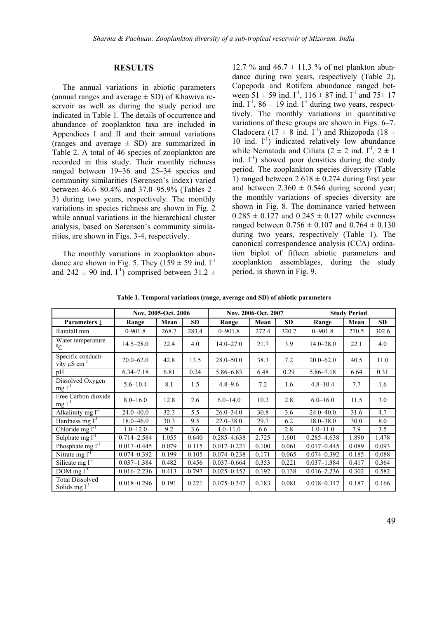## **RESULTS**

The annual variations in abiotic parameters (annual ranges and average  $\pm$  SD) of Khawiva reservoir as well as during the study period are indicated in Table 1. The details of occurrence and abundance of zooplankton taxa are included in Appendices I and II and their annual variations (ranges and average  $\pm$  SD) are summarized in Table 2. A total of 46 species of zooplankton are recorded in this study. Their monthly richness ranged between 19–36 and 25–34 species and community similarities (Sørensen's index) varied between 46.6–80.4% and 37.0–95.9% (Tables 2– 3) during two years, respectively. The monthly variations in species richness are shown in Fig. 2 while annual variations in the hierarchical cluster analysis, based on Sørensen's community similarities, are shown in Figs. 3-4, respectively.

The monthly variations in zooplankton abundance are shown in Fig. 5. They (159  $\pm$  59 ind. 1<sup>-1</sup> and 242  $\pm$  90 ind. 1<sup>-1</sup>) comprised between 31.2  $\pm$  12.7 % and  $46.7 \pm 11.3$  % of net plankton abundance during two years, respectively (Table 2). Copepoda and Rotifera abundance ranged between  $51 \pm 59$  ind.  $1^{-1}$ ,  $116 \pm 87$  ind.  $1^{-1}$  and  $75 \pm 17$ ind.  $l^{-1}$ , 86  $\pm$  19 ind.  $l^{-1}$  during two years, respecttively. The monthly variations in quantitative variations of these groups are shown in Figs. 6–7. Cladocera (17  $\pm$  8 ind. l<sup>-1</sup>) and Rhizopoda (18  $\pm$ 10 ind.  $1^{-1}$ ) indicated relatively low abundance while Nematoda and Ciliata ( $2 \pm 2$  ind.  $l^{-1}$ ,  $2 \pm 1$ ) ind.  $1^{-1}$ ) showed poor densities during the study period. The zooplankton species diversity (Table 1) ranged between  $2.618 \pm 0.274$  during first year and between  $2.360 \pm 0.546$  during second year; the monthly variations of species diversity are shown in Fig. 8. The dominance varied between  $0.285 \pm 0.127$  and  $0.245 \pm 0.127$  while evenness ranged between  $0.756 \pm 0.107$  and  $0.764 \pm 0.130$ during two years, respectively (Table 1). The canonical correspondence analysis (CCA) ordination biplot of fifteen abiotic parameters and zooplankton assemblages, during the study period, is shown in Fig. 9.

|                                                     |                 | Nov. 2005-Oct. 2006 |           |                 | Nov. 2006-Oct. 2007 |           | <b>Study Period</b> |       |           |  |  |
|-----------------------------------------------------|-----------------|---------------------|-----------|-----------------|---------------------|-----------|---------------------|-------|-----------|--|--|
| <b>Parameters</b> 1                                 | Range           | Mean                | <b>SD</b> | Range           | Mean                | <b>SD</b> | Range               | Mean  | <b>SD</b> |  |  |
| Rainfall mm                                         | $0-901.8$       | 268.7               | 283.4     | $0 - 901.8$     | 272.4               | 320.7     | $0 - 901.8$         | 270.5 | 302.6     |  |  |
| Water temperature<br>${}^{0}C$                      | $14.5 - 28.0$   | 22.4                | 4.0       | $14.0 - 27.0$   | 21.7                | 3.9       | $14.0 - 28.0$       | 22.1  | 4.0       |  |  |
| Specific conducti-<br>vity $\mu$ S cm <sup>-1</sup> | $20.0 - 62.0$   | 42.8                | 13.5      | $28.0 - 50.0$   | 38.3                | 7.2       | $20.0 - 62.0$       | 40.5  | 11.0      |  |  |
| pH                                                  | $6.34 - 7.18$   | 6.81                | 0.24      | 5.86–6.83       | 6.48                | 0.29      | $5.86 - 7.18$       | 6.64  | 0.31      |  |  |
| Dissolved Oxygen<br>$mg l^{-1}$                     | $5.6 - 10.4$    | 8.1                 | 1.5       | $4.8 - 9.6$     | 7.2                 | 1.6       | $4.8 - 10.4$        | 7.7   | 1.6       |  |  |
| Free Carbon dioxide<br>$mg1^{-1}$                   | $8.0 - 16.0$    | 12.8                | 2.6       | $6.0 - 14.0$    | 10.2                | 2.8       | $6.0 - 16.0$        | 11.5  | 3.0       |  |  |
| Alkalinity mg $l-1$                                 | $24.0 - 40.0$   | 32.3                | 5.5       | $26.0 - 34.0$   | 30.8                | 3.6       | $24.0 - 40.0$       | 31.6  | 4.7       |  |  |
| Hardness mg $l^{-1}$                                | $18.0 - 46.0$   | 30.3                | 9.5       | $22.0 - 38.0$   | 29.7                | 6.2       | $18.0 - 38.0$       | 30.0  | 8.0       |  |  |
| Chloride mg $l^{-1}$                                | $1.0 - 12.0$    | 9.2                 | 3.6       | $4.0 - 11.0$    | 6.6                 | 2.8       | $1.0 - 11.0$        | 7.9   | 3.5       |  |  |
| Sulphate mg $l^{-1}$                                | $0.714 - 2.584$ | 1.055               | 0.640     | 0.285-4.638     | 2.725               | 1.601     | $0.285 - 4.638$     | 1.890 | 1.478     |  |  |
| Phosphate mg $l^{-1}$                               | $0.017 - 0.445$ | 0.079               | 0.115     | $0.017 - 0.221$ | 0.100               | 0.061     | $0.017 - 0.445$     | 0.089 | 0.093     |  |  |
| Nitrate mg $l^{-1}$                                 | $0.074 - 0.392$ | 0.199               | 0.105     | $0.074 - 0.238$ | 0.171               | 0.065     | $0.074 - 0.392$     | 0.185 | 0.088     |  |  |
| Silicate mg $l^{-1}$                                | $0.037 - 1.384$ | 0.482               | 0.456     | $0.037 - 0.664$ | 0.353               | 0.221     | $0.037 - 1.384$     | 0.417 | 0.364     |  |  |
| DOM mg $l^{-1}$                                     | $0.016 - 2.236$ | 0.413               | 0.797     | $0.025 - 0.452$ | 0.192               | 0.138     | $0.016 - 2.236$     | 0.302 | 0.582     |  |  |
| <b>Total Dissolved</b><br>Solids mg $1^{-1}$        | $0.018 - 0.296$ | 0.191               | 0.221     | $0.075 - 0.347$ | 0.183               | 0.081     | $0.018 - 0.347$     | 0.187 | 0.166     |  |  |

**Table 1. Temporal variations (range, average and SD) of abiotic parameters**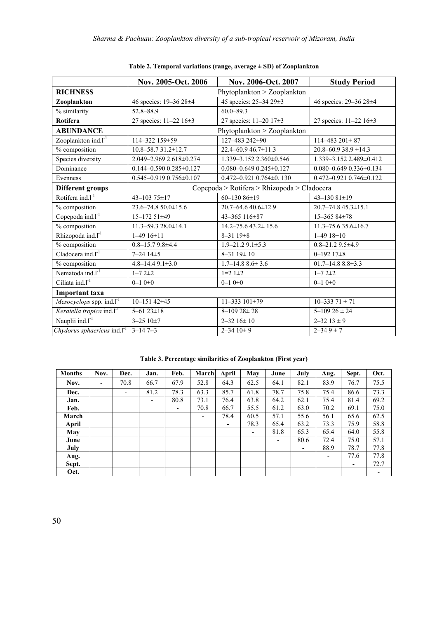|                                       | Nov. 2005-Oct. 2006               | Nov. 2006-Oct. 2007                         | <b>Study Period</b>               |
|---------------------------------------|-----------------------------------|---------------------------------------------|-----------------------------------|
| <b>RICHNESS</b>                       |                                   | Phytoplankton > Zooplankton                 |                                   |
| Zooplankton                           | 46 species: 19-36 28±4            | 45 species: 25-34 29±3                      | 46 species: 29-36 28±4            |
| % similarity                          | 52.8-88.9                         | $60.0 - 89.3$                               |                                   |
| <b>Rotifera</b>                       | 27 species: 11-22 16±3            | 27 species: 11-20 17±3                      | 27 species: 11-22 16±3            |
| <b>ABUNDANCE</b>                      |                                   | Phytoplankton > Zooplankton                 |                                   |
| Zooplankton ind.l <sup>-1</sup>       | 114-322 159±59                    | 127-483 242±90                              | $114 - 483201 \pm 87$             |
| % composition                         | 10.8-58.7 31.2±12.7               | 22.4-60.9 46.7±11.3                         | $20.8 - 60.938.9 \pm 14.3$        |
| Species diversity                     | 2.049-2.969 2.618±0.274           | 1.339-3.152 2.360±0.546                     | 1.339-3.152 2.489±0.412           |
| Dominance                             | $0.144 - 0.590$ $0.285 \pm 0.127$ | $0.080 - 0.649$ $0.245 \pm 0.127$           | $0.080 - 0.649$ $0.336 \pm 0.134$ |
| Evenness                              | $0.545 - 0.919$ $0.756 \pm 0.107$ | $0.472 - 0.921$ $0.764 \pm 0.130$           | $0.472 - 0.921$ $0.746 \pm 0.122$ |
| <b>Different groups</b>               |                                   | Copepoda > Rotifera > Rhizopoda > Cladocera |                                   |
| Rotifera ind. $l^{-1}$                | $43 - 10375 \pm 17$               | $60 - 13086 \pm 19$                         | $43 - 13081 \pm 19$               |
| % composition                         | $23.6 - 74.850.0 \pm 15.6$        | $20.7 - 64.640.6 \pm 12.9$                  | $20.7 - 74.845.3 \pm 15.1$        |
| Copepoda ind. $l^{-1}$                | $15 - 17251 \pm 49$               | 43-365 116±87                               | $15 - 36584 \pm 78$               |
| % composition                         | $11.3 - 59.328.0 \pm 14.1$        | $14.2 - 75.643.2 \pm 15.6$                  | $11.3 - 75.635.6 \pm 16.7$        |
| Rhizopoda ind.l <sup>-1</sup>         | $1-49$ $16\pm11$                  | $8 - 3119 \pm 8$                            | $1-49$ $18\pm10$                  |
| % composition                         | $0.8 - 15.79.8 \pm 4.4$           | $1.9 - 21.29.1 \pm 5.3$                     | $0.8 - 21.29.5 \pm 4.9$           |
| Cladocera ind. $l^{-1}$               | $7 - 2414 \pm 5$                  | $8 - 3119 \pm 10$                           | $0 - 192$ 17 $\pm$ 8              |
| % composition                         | $4.8 - 14.49.1 \pm 3.0$           | $1.7 - 14.886 \pm 3.6$                      | $01.7 - 14.88.8 \pm 3.3$          |
| Nematoda ind.l <sup>-1</sup>          | $1 - 72 \pm 2$                    | $1=2$ $1\pm 2$                              | $1 - 72 \pm 2$                    |
| Ciliata ind. $l^{-1}$                 | $0 - 10 \pm 0$                    | $0 - 10 \pm 0$                              | $0 - 10 \pm 0$                    |
| <b>Important</b> taxa                 |                                   |                                             |                                   |
| Mesocyclops spp. $ind.l^{-1}$         | $10 - 15142 \pm 45$               | 11-333 101±79                               | $10 - 33371 \pm 71$               |
| Keratella tropica ind.1 <sup>-1</sup> | $5 - 6123 \pm 18$                 | $8 - 10928 \pm 28$                          | $5-10926 \pm 24$                  |
| Nauplii ind. <sup>1-1</sup>           | $3 - 2510 \pm 7$                  | $2 - 3216 \pm 10$                           | $2 - 3213 \pm 9$                  |
| Chydorus sphaericus ind. $l^{-1}$     | $3 - 147 \pm 3$                   | $2 - 3410 \pm 9$                            | $2 - 349 \pm 7$                   |

|  | Table 2. Temporal variations (range, average $\pm$ SD) of Zooplankton |
|--|-----------------------------------------------------------------------|
|--|-----------------------------------------------------------------------|

| <b>Months</b> | Nov. | Dec. | Jan. | Feb.                     | March                    | April                    | May                      | June | July | Aug.                     | Sept. | Oct.                     |
|---------------|------|------|------|--------------------------|--------------------------|--------------------------|--------------------------|------|------|--------------------------|-------|--------------------------|
| Nov.          | -    | 70.8 | 66.7 | 67.9                     | 52.8                     | 64.3                     | 62.5                     | 64.1 | 82.1 | 83.9                     | 76.7  | 75.5                     |
| Dec.          |      | -    | 81.2 | 78.3                     | 63.3                     | 85.7                     | 61.8                     | 78.7 | 75.8 | 75.4                     | 86.6  | 73.3                     |
| Jan.          |      |      | -    | 80.8                     | 73.1                     | 76.4                     | 63.8                     | 64.2 | 62.1 | 75.4                     | 81.4  | 69.2                     |
| Feb.          |      |      |      | $\overline{\phantom{a}}$ | 70.8                     | 66.7                     | 55.5                     | 61.2 | 63.0 | 70.2                     | 69.1  | 75.0                     |
| March         |      |      |      |                          | $\overline{\phantom{a}}$ | 78.4                     | 60.5                     | 57.1 | 55.6 | 56.1                     | 65.6  | 62.5                     |
| April         |      |      |      |                          |                          | $\overline{\phantom{a}}$ | 78.3                     | 65.4 | 63.2 | 73.3                     | 75.9  | 58.8                     |
| May           |      |      |      |                          |                          |                          | $\overline{\phantom{a}}$ | 81.8 | 65.3 | 65.4                     | 64.0  | 55.8                     |
| June          |      |      |      |                          |                          |                          |                          | ۰.   | 80.6 | 72.4                     | 75.0  | 57.1                     |
| July          |      |      |      |                          |                          |                          |                          |      | -    | 88.9                     | 78.7  | 77.8                     |
| Aug.          |      |      |      |                          |                          |                          |                          |      |      | $\overline{\phantom{a}}$ | 77.6  | 77.8                     |
| Sept.         |      |      |      |                          |                          |                          |                          |      |      |                          | ٠     | 72.7                     |
| Oct.          |      |      |      |                          |                          |                          |                          |      |      |                          |       | $\overline{\phantom{a}}$ |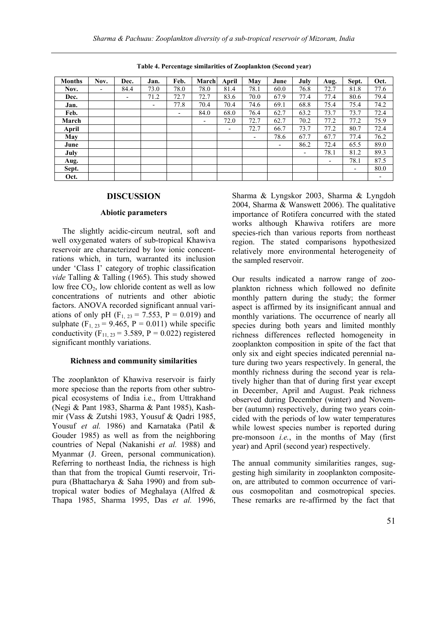| <b>Months</b> | Nov.                     | Dec.                     | Jan. | Feb. | March                    | April                    | May                      | June                     | July                     | Aug.                     | Sept.                    | Oct. |
|---------------|--------------------------|--------------------------|------|------|--------------------------|--------------------------|--------------------------|--------------------------|--------------------------|--------------------------|--------------------------|------|
| Nov.          | $\overline{\phantom{a}}$ | 84.4                     | 73.0 | 78.0 | 78.0                     | 81.4                     | 78.1                     | 60.0                     | 76.8                     | 72.7                     | 81.8                     | 77.6 |
| Dec.          |                          | $\overline{\phantom{a}}$ | 71.2 | 72.7 | 72.7                     | 83.6                     | 70.0                     | 67.9                     | 77.4                     | 77.4                     | 80.6                     | 79.4 |
| Jan.          |                          |                          | ۰    | 77.8 | 70.4                     | 70.4                     | 74.6                     | 69.1                     | 68.8                     | 75.4                     | 75.4                     | 74.2 |
| Feb.          |                          |                          |      | -    | 84.0                     | 68.0                     | 76.4                     | 62.7                     | 63.2                     | 73.7                     | 73.7                     | 72.4 |
| March         |                          |                          |      |      | $\overline{\phantom{a}}$ | 72.0                     | 72.7                     | 62.7                     | 70.2                     | 77.2                     | 77.2                     | 75.9 |
| April         |                          |                          |      |      |                          | $\overline{\phantom{a}}$ | 72.7                     | 66.7                     | 73.7                     | 77.2                     | 80.7                     | 72.4 |
| May           |                          |                          |      |      |                          |                          | $\overline{\phantom{a}}$ | 78.6                     | 67.7                     | 67.7                     | 77.4                     | 76.2 |
| June          |                          |                          |      |      |                          |                          |                          | $\overline{\phantom{a}}$ | 86.2                     | 72.4                     | 65.5                     | 89.0 |
| July          |                          |                          |      |      |                          |                          |                          |                          | $\overline{\phantom{a}}$ | 78.1                     | 81.2                     | 89.3 |
| Aug.          |                          |                          |      |      |                          |                          |                          |                          |                          | $\overline{\phantom{a}}$ | 78.1                     | 87.5 |
| Sept.         |                          |                          |      |      |                          |                          |                          |                          |                          |                          | $\overline{\phantom{a}}$ | 80.0 |
| Oct.          |                          |                          |      |      |                          |                          |                          |                          |                          |                          |                          | ٠    |

**Table 4. Percentage similarities of Zooplankton (Second year)** 

## **DISCUSSION**

# **Abiotic parameters**

The slightly acidic-circum neutral, soft and well oxygenated waters of sub-tropical Khawiva reservoir are characterized by low ionic concentrations which, in turn, warranted its inclusion under 'Class I' category of trophic classification *vide* Talling & Talling (1965). This study showed low free  $CO<sub>2</sub>$ , low chloride content as well as low concentrations of nutrients and other abiotic factors. ANOVA recorded significant annual variations of only pH ( $F_{1, 23} = 7.553$ ,  $P = 0.019$ ) and sulphate  $(F_{1, 23} = 9.465, P = 0.011)$  while specific conductivity  $(F_{11, 23} = 3.589, P = 0.022)$  registered significant monthly variations.

#### **Richness and community similarities**

The zooplankton of Khawiva reservoir is fairly more speciose than the reports from other subtropical ecosystems of India i.e., from Uttrakhand (Negi & Pant 1983, Sharma & Pant 1985), Kashmir (Vass & Zutshi 1983, Yousuf & Qadri 1985, Yousuf *et al.* 1986) and Karnataka (Patil & Gouder 1985) as well as from the neighboring countries of Nepal (Nakanishi *et al.* 1988) and Myanmar (J. Green, personal communication). Referring to northeast India, the richness is high than that from the tropical Gumti reservoir, Tripura (Bhattacharya & Saha 1990) and from subtropical water bodies of Meghalaya (Alfred & Thapa 1985, Sharma 1995, Das *et al.* 1996,

Sharma & Lyngskor 2003, Sharma & Lyngdoh 2004, Sharma & Wanswett 2006). The qualitative importance of Rotifera concurred with the stated works although Khawiva rotifers are more species-rich than various reports from northeast region. The stated comparisons hypothesized relatively more environmental heterogeneity of the sampled reservoir.

Our results indicated a narrow range of zooplankton richness which followed no definite monthly pattern during the study; the former aspect is affirmed by its insignificant annual and monthly variations. The occurrence of nearly all species during both years and limited monthly richness differences reflected homogeneity in zooplankton composition in spite of the fact that only six and eight species indicated perennial nature during two years respectively. In general, the monthly richness during the second year is relatively higher than that of during first year except in December, April and August. Peak richness observed during December (winter) and November (autumn) respectively, during two years coincided with the periods of low water temperatures while lowest species number is reported during pre-monsoon *i.e.*, in the months of May (first year) and April (second year) respectively.

The annual community similarities ranges, suggesting high similarity in zooplankton compositeon, are attributed to common occurrence of various cosmopolitan and cosmotropical species. These remarks are re-affirmed by the fact that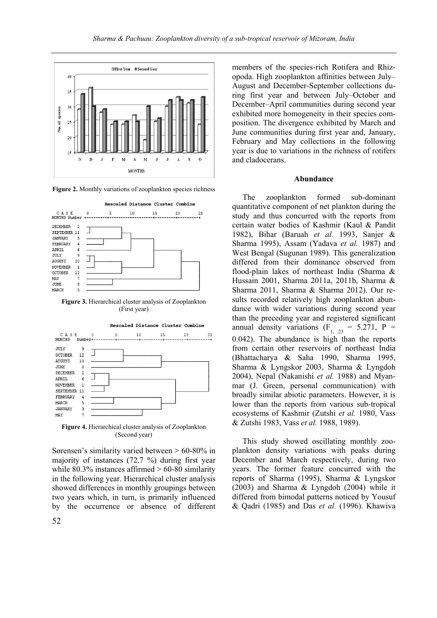

Figure 2. Monthly variations of zooplankton species richness



**Figure 3.** Hierarchical cluster analysis of Zooplankton (First year)



**Figure 4.** Hierarchical cluster analysis of Zooplankton (Second year)

Sørensen's similarity varied between > 60-80% in majority of instances (72.7 %) during first year while  $80.3\%$  instances affirmed  $> 60-80$  similarity in the following year. Hierarchical cluster analysis showed differences in monthly groupings between two years which, in turn, is primarily influenced by the occurrence or absence of different members of the species-rich Rotifera and Rhizopoda. High zooplankton affinities between July– August and December-September collections during first year and between July–October and December–April communities during second year exhibited more homogeneity in their species composition. The divergence exhibited by March and June communities during first year and, January, February and May collections in the following year is due to variations in the richness of rotifers and cladocerans.

#### **Abundance**

The zooplankton formed sub-dominant quantitative component of net plankton during the study and thus concurred with the reports from certain water bodies of Kashmir (Kaul & Pandit 1982), Bihar (Baruah *et al.* 1993, Sanjer & Sharma 1995), Assam (Yadava *et al.* 1987) and West Bengal (Sugunan 1989). This generalization differed from their dominance observed from flood-plain lakes of northeast India (Sharma & Hussain 2001, Sharma 2011a, 2011b, Sharma & Sharma 2011, Sharma & Sharma 2012). Our results recorded relatively high zooplankton abundance with wider variations during second year than the preceding year and registered significant annual density variations (F<sub>1, 23</sub> = 5.271, P = 0.042). The abundance is high than the reports from certain other reservoirs of northeast India (Bhattacharya & Saha 1990, Sharma 1995, Sharma & Lyngskor 2003, Sharma & Lyngdoh 2004), Nepal (Nakanishi *et al.* 1988) and Myanmar (J. Green, personal communication) with broadly similar abiotic parameters. However, it is lower than the reports from various sub-tropical ecosystems of Kashmir (Zutshi *et al.* 1980, Vass & Zutshi 1983, Vass *et al.* 1988, 1989).

This study showed oscillating monthly zooplankton density variations with peaks during December and March respectively, during two years. The former feature concurred with the reports of Sharma (1995), Sharma & Lyngskor (2003) and Sharma & Lyngdoh (2004) while it differed from bimodal patterns noticed by Yousuf & Qadri (1985) and Das *et al.* (1996). Khawiva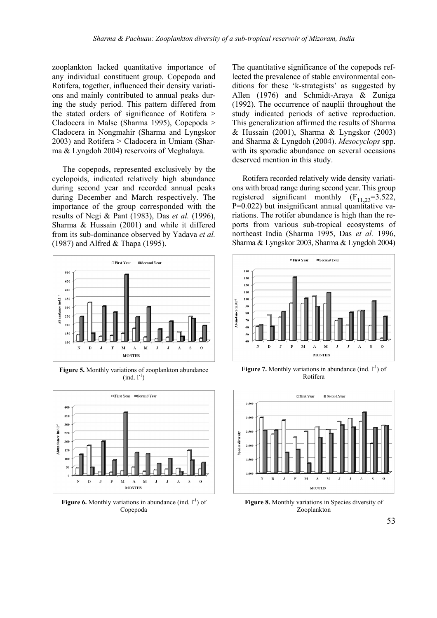zooplankton lacked quantitative importance of any individual constituent group. Copepoda and Rotifera, together, influenced their density variations and mainly contributed to annual peaks during the study period. This pattern differed from the stated orders of significance of Rotifera > Cladocera in Malse (Sharma 1995), Copepoda > Cladocera in Nongmahir (Sharma and Lyngskor 2003) and Rotifera > Cladocera in Umiam (Sharma & Lyngdoh 2004) reservoirs of Meghalaya.

The copepods, represented exclusively by the cyclopoids, indicated relatively high abundance during second year and recorded annual peaks during December and March respectively. The importance of the group corresponded with the results of Negi & Pant (1983), Das *et al.* (1996), Sharma & Hussain (2001) and while it differed from its sub-dominance observed by Yadava *et al.* (1987) and Alfred & Thapa (1995).



**Figure 5.** Monthly variations of zooplankton abundance (ind.  $1^{-1}$ )



**Figure 6.** Monthly variations in abundance (ind.  $l^{-1}$ ) of Copepoda

The quantitative significance of the copepods reflected the prevalence of stable environmental conditions for these 'k-strategists' as suggested by Allen (1976) and Schmidt-Araya & Zuniga (1992). The occurrence of nauplii throughout the study indicated periods of active reproduction. This generalization affirmed the results of Sharma & Hussain (2001), Sharma & Lyngskor (2003) and Sharma & Lyngdoh (2004). *Mesocyclops* spp. with its sporadic abundance on several occasions deserved mention in this study.

Rotifera recorded relatively wide density variations with broad range during second year. This group registered significant monthly  $(F_{11,23}=3.522)$ , P=0.022) but insignificant annual quantitative variations. The rotifer abundance is high than the reports from various sub-tropical ecosystems of northeast India (Sharma 1995, Das *et al.* 1996, Sharma & Lyngskor 2003, Sharma & Lyngdoh 2004)



**Figure 7.** Monthly variations in abundance (ind.  $1^{-1}$ ) of Rotifera



**Figure 8.** Monthly variations in Species diversity of Zooplankton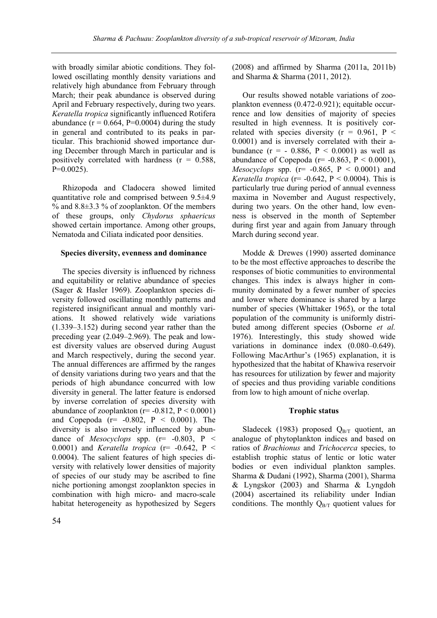with broadly similar abiotic conditions. They followed oscillating monthly density variations and relatively high abundance from February through March; their peak abundance is observed during April and February respectively, during two years. *Keratella tropica* significantly influenced Rotifera abundance ( $r = 0.664$ , P=0.0004) during the study in general and contributed to its peaks in particular. This brachionid showed importance during December through March in particular and is positively correlated with hardness  $(r = 0.588)$ ,  $P=0.0025$ ).

Rhizopoda and Cladocera showed limited quantitative role and comprised between 9.5±4.9 % and  $8.8\pm3.3$  % of zooplankton. Of the members of these groups, only *Chydorus sphaericus* showed certain importance. Among other groups, Nematoda and Ciliata indicated poor densities.

# **Species diversity, evenness and dominance**

The species diversity is influenced by richness and equitability or relative abundance of species (Sager & Hasler 1969). Zooplankton species diversity followed oscillating monthly patterns and registered insignificant annual and monthly variations. It showed relatively wide variations (1.339–3.152) during second year rather than the preceding year (2.049–2.969). The peak and lowest diversity values are observed during August and March respectively, during the second year. The annual differences are affirmed by the ranges of density variations during two years and that the periods of high abundance concurred with low diversity in general. The latter feature is endorsed by inverse correlation of species diversity with abundance of zooplankton ( $r = -0.812$ ,  $P < 0.0001$ ) and Copepoda ( $r = -0.802$ ,  $P < 0.0001$ ). The diversity is also inversely influenced by abundance of *Mesocyclops* spp.  $(r= -0.803, P <$ 0.0001) and *Keratella tropica* (r= -0.642, P < 0.0004). The salient features of high species diversity with relatively lower densities of majority of species of our study may be ascribed to fine niche portioning amongst zooplankton species in combination with high micro- and macro-scale habitat heterogeneity as hypothesized by Segers

54

(2008) and affirmed by Sharma (2011a, 2011b) and Sharma & Sharma (2011, 2012).

Our results showed notable variations of zooplankton evenness (0.472-0.921); equitable occurrence and low densities of majority of species resulted in high evenness. It is positively correlated with species diversity  $(r = 0.961, P <$ 0.0001) and is inversely correlated with their abundance ( $r = -0.886$ ,  $P < 0.0001$ ) as well as abundance of Copepoda ( $r = -0.863$ ,  $P < 0.0001$ ), *Mesocyclops* spp. ( $r = -0.865$ ,  $P < 0.0001$ ) and *Keratella tropica* ( $r = -0.642$ ,  $P < 0.0004$ ). This is particularly true during period of annual evenness maxima in November and August respectively, during two years. On the other hand, low evenness is observed in the month of September during first year and again from January through March during second year.

Modde & Drewes (1990) asserted dominance to be the most effective approaches to describe the responses of biotic communities to environmental changes. This index is always higher in community dominated by a fewer number of species and lower where dominance is shared by a large number of species (Whittaker 1965), or the total population of the community is uniformly distributed among different species (Osborne *et al.*  1976). Interestingly, this study showed wide variations in dominance index (0.080–0.649). Following MacArthur's (1965) explanation, it is hypothesized that the habitat of Khawiva reservoir has resources for utilization by fewer and majority of species and thus providing variable conditions from low to high amount of niche overlap.

#### **Trophic status**

Sladecek (1983) proposed  $Q_{B/T}$  quotient, an analogue of phytoplankton indices and based on ratios of *Brachionus* and *Trichocerca* species, to establish trophic status of lentic or lotic water bodies or even individual plankton samples. Sharma & Dudani (1992), Sharma (2001), Sharma & Lyngskor (2003) and Sharma & Lyngdoh (2004) ascertained its reliability under Indian conditions. The monthly  $Q_{B/T}$  quotient values for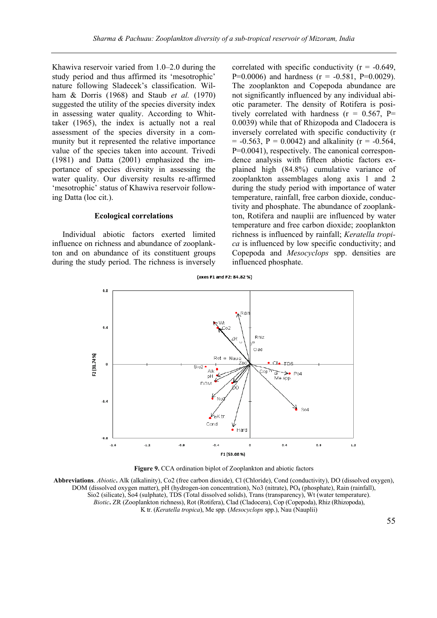Khawiva reservoir varied from 1.0–2.0 during the study period and thus affirmed its 'mesotrophic' nature following Sladecek's classification. Wilham & Dorris (1968) and Staub *et al.* (1970) suggested the utility of the species diversity index in assessing water quality. According to Whittaker (1965), the index is actually not a real assessment of the species diversity in a community but it represented the relative importance value of the species taken into account. Trivedi (1981) and Datta (2001) emphasized the importance of species diversity in assessing the water quality. Our diversity results re-affirmed 'mesotrophic' status of Khawiva reservoir following Datta (loc cit.).

# **Ecological correlations**

Individual abiotic factors exerted limited influence on richness and abundance of zooplankton and on abundance of its constituent groups during the study period. The richness is inversely correlated with specific conductivity  $(r = -0.649)$ , P=0.0006) and hardness  $(r = -0.581, P=0.0029)$ . The zooplankton and Copepoda abundance are not significantly influenced by any individual abiotic parameter. The density of Rotifera is positively correlated with hardness  $(r = 0.567, P=$ 0.0039) while that of Rhizopoda and Cladocera is inversely correlated with specific conductivity (r  $= -0.563$ , P  $= 0.0042$ ) and alkalinity (r  $= -0.564$ , P=0.0041), respectively. The canonical correspondence analysis with fifteen abiotic factors explained high (84.8%) cumulative variance of zooplankton assemblages along axis 1 and 2 during the study period with importance of water temperature, rainfall, free carbon dioxide, conductivity and phosphate. The abundance of zooplankton, Rotifera and nauplii are influenced by water temperature and free carbon dioxide; zooplankton richness is influenced by rainfall; *Keratella tropica* is influenced by low specific conductivity; and Copepoda and *Mesocyclops* spp. densities are influenced phosphate.



(axes F1 and F2: 84.82 %)

**Figure 9.** CCA ordination biplot of Zooplankton and abiotic factors

**Abbreviations**. *Abiotic***.** Alk (alkalinity), Co2 (free carbon dioxide), Cl (Chloride), Cond (conductivity), DO (dissolved oxygen), DOM (dissolved oxygen matter), pH (hydrogen-ion concentration), No3 (nitrate), PO<sub>4</sub> (phosphate), Rain (rainfall), Sio2 (silicate), So4 (sulphate), TDS (Total dissolved solids), Trans (transparency), Wt (water temperature). *Biotic***.** ZR (Zooplankton richness), Rot (Rotifera), Clad (Cladocera), Cop (Copepoda), Rhiz (Rhizopoda), K tr. (*Keratella tropica*), Me spp. (*Mesocyclops* spp.), Nau (Nauplii)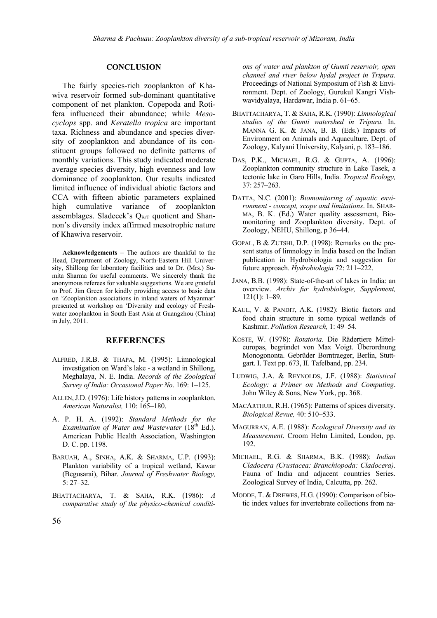# **CONCLUSION**

The fairly species-rich zooplankton of Khawiva reservoir formed sub-dominant quantitative component of net plankton. Copepoda and Rotifera influenced their abundance; while *Mesocyclops* spp. and *Keratella tropica* are important taxa. Richness and abundance and species diversity of zooplankton and abundance of its constituent groups followed no definite patterns of monthly variations. This study indicated moderate average species diversity, high evenness and low dominance of zooplankton. Our results indicated limited influence of individual abiotic factors and CCA with fifteen abiotic parameters explained high cumulative variance of zooplankton assemblages. Sladecek's  $Q_{B/T}$  quotient and Shannon's diversity index affirmed mesotrophic nature of Khawiva reservoir.

**Acknowledgements** – The authors are thankful to the Head, Department of Zoology, North-Eastern Hill University, Shillong for laboratory facilities and to Dr. (Mrs.) Sumita Sharma for useful comments. We sincerely thank the anonymous referees for valuable suggestions. We are grateful to Prof. Jim Green for kindly providing access to basic data on 'Zooplankton associations in inland waters of Myanmar' presented at workshop on 'Diversity and ecology of Freshwater zooplankton in South East Asia at Guangzhou (China) in July, 2011.

# **REFERENCES**

- ALFRED, J.R.B. & THAPA, M. (1995): Limnological investigation on Ward's lake - a wetland in Shillong, Meghalaya, N. E. India. *Records of the Zoological Survey of India: Occasional Paper No*. 169: 1–125.
- ALLEN, J.D. (1976): Life history patterns in zooplankton. *American Naturalist,* 110: 165–180.
- A. P. H. A. (1992): *Standard Methods for the Examination of Water and Wastewater* (18th Ed.). American Public Health Association, Washington D. C. pp. 1198.
- BARUAH, A., SINHA, A.K. & SHARMA, U.P. (1993): Plankton variability of a tropical wetland, Kawar (Begusarai), Bihar. *Journal of Freshwater Biology,*  5: 27–32.
- BHATTACHARYA, T. & SAHA, R.K. (1986): *A comparative study of the physico-chemical conditi-*

*ons of water and plankton of Gumti reservoir, open channel and river below hydal project in Tripura.* Proceedings of National Symposium of Fish & Environment. Dept. of Zoology, Gurukul Kangri Vishwavidyalaya, Hardawar, India p. 61–65.

- BHATTACHARYA, T. & SAHA, R.K. (1990): *Limnological studies of the Gumti watershed in Tripura.* In. MANNA G. K. & JANA, B. B. (Eds.) Impacts of Environment on Animals and Aquaculture, Dept. of Zoology, Kalyani University, Kalyani, p. 183–186.
- DAS, P.K., MICHAEL, R.G. & GUPTA, A. (1996): Zooplankton community structure in Lake Tasek, a tectonic lake in Garo Hills, India. *Tropical Ecology,* 37: 257–263.
- DATTA, N.C. (2001): *Biomonitoring of aquatic environment - concept, scope and limitations*. In. SHAR-MA, B. K. (Ed.) Water quality assessment, Biomonitoring and Zooplankton diversity. Dept. of Zoology, NEHU, Shillong, p 36–44.
- GOPAL, B & ZUTSHI, D.P. (1998): Remarks on the present status of limnology in India based on the Indian publication in Hydrobiologia and suggestion for future approach. *Hydrobiologia* 72: 211–222.
- JANA, B.B. (1998): State-of-the-art of lakes in India: an overview. *Archiv fur hydrobiologie, Supplement,*  121(1): 1–89.
- KAUL, V. & PANDIT, A.K. (1982): Biotic factors and food chain structure in some typical wetlands of Kashmir. *Pollution Research,* 1: 49–54.
- KOSTE, W. (1978): *Rotatoria*. Die Rädertiere Mitteleuropas, begründet von Max Voigt. Überordnung Monogononta. Gebrüder Borntraeger, Berlin, Stuttgart. I. Text pp. 673, II. Tafelband, pp. 234.
- LUDWIG, J.A. & REYNOLDS, J.F. (1988): *Statistical Ecology: a Primer on Methods and Computing*. John Wiley & Sons, New York, pp. 368.
- MACARTHUR, R.H. (1965): Patterns of spices diversity. *Biological Revue,* 40: 510–533.
- MAGURRAN, A.E. (1988): *Ecological Diversity and its Measurement*. Croom Helm Limited, London, pp. 192.
- MICHAEL, R.G. & SHARMA, B.K. (1988): *Indian Cladocera (Crustacea: Branchiopoda: Cladocera)*. Fauna of India and adjacent countries Series. Zoological Survey of India, Calcutta, pp. 262.
- MODDE, T. & DREWES, H.G. (1990): Comparison of biotic index values for invertebrate collections from na-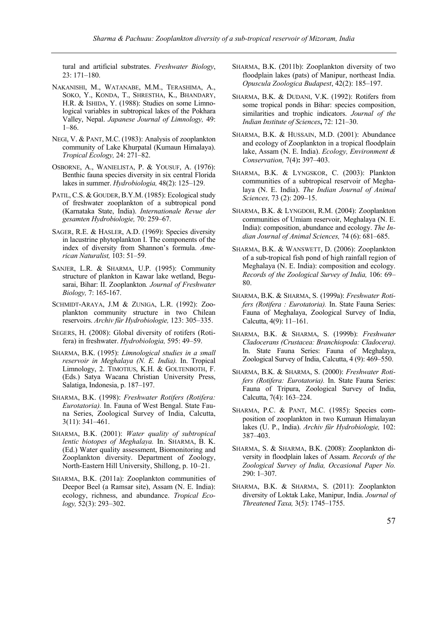tural and artificial substrates. *Freshwater Biology*, 23: 171–180.

- NAKANISHI, M., WATANABE, M.M., TERASHIMA, A., SOKO, Y., KONDA, T., SHRESTHA, K., BHANDARY, H.R. & ISHIDA, Y. (1988): Studies on some Limnological variables in subtropical lakes of the Pokhara Valley, Nepal. *Japanese Journal of Limnology,* 49: 1–86.
- NEGI, V. & PANT, M.C. (1983): Analysis of zooplankton community of Lake Khurpatal (Kumaun Himalaya). *Tropical Ecology,* 24: 271–82.
- OSBORNE, A., WANIELISTA, P. & YOUSUF, A. (1976): Benthic fauna species diversity in six central Florida lakes in summer. *Hydrobiologia,* 48(2): 125–129.
- PATIL, C.S. & GOUDER, B.Y.M. (1985): Ecological study of freshwater zooplankton of a subtropical pond (Karnataka State, India). *Internationale Revue der gesamten Hydrobiologie,* 70: 259–67.
- SAGER, R.E. & HASLER, A.D. (1969): Species diversity in lacustrine phytoplankton I. The components of the index of diversity from Shannon's formula. *American Naturalist,* 103: 51–59.
- SANJER, L.R. & SHARMA, U.P. (1995): Community structure of plankton in Kawar lake wetland, Begusarai, Bihar: II. Zooplankton*. Journal of Freshwater Biology,* 7: 165-167.
- SCHMIDT-ARAYA, J.M & ZUNIGA, L.R. (1992): Zooplankton community structure in two Chilean reservoirs. *Archiv für Hydrobiologie,* 123: 305–335.
- SEGERS, H. (2008): Global diversity of rotifers (Rotifera) in freshwater. *Hydrobiologia,* 595: 49–59.
- SHARMA, B.K. (1995): *Limnological studies in a small reservoir in Meghalaya (N. E. India).* In. Tropical Limnology, 2. TIMOTIUS, K.H. & GOLTENBOTH, F. (Eds.) Satya Wacana Christian University Press, Salatiga, Indonesia, p. 187–197.
- SHARMA, B.K. (1998): *Freshwater Rotifers (Rotifera: Eurotatoria).* In. Fauna of West Bengal. State Fauna Series, Zoological Survey of India, Calcutta, 3(11): 341–461.
- SHARMA, B.K. (2001): *Water quality of subtropical lentic biotopes of Meghalaya.* In. SHARMA, B. K. (Ed.) Water quality assessment, Biomonitoring and Zooplankton diversity. Department of Zoology, North-Eastern Hill University, Shillong, p. 10–21.
- SHARMA, B.K. (2011a): Zooplankton communities of Deepor Beel (a Ramsar site), Assam (N. E. India): ecology, richness, and abundance. *Tropical Ecology,* 52(3): 293–302.
- SHARMA, B.K. (2011b): Zooplankton diversity of two floodplain lakes (pats) of Manipur, northeast India. *Opuscula Zoologica Budapest*, 42(2): 185–197.
- SHARMA, B.K. & DUDANI, V.K. (1992): Rotifers from some tropical ponds in Bihar: species composition, similarities and trophic indicators. *Journal of the Indian Institute of Sciences***,** 72: 121–30.
- SHARMA, B.K. & HUSSAIN, M.D. (2001): Abundance and ecology of Zooplankton in a tropical floodplain lake, Assam (N. E. India). *Ecology, Environment & Conservation,* 7(4)**:** 397–403.
- SHARMA, B.K. & LYNGSKOR, C. (2003): Plankton communities of a subtropical reservoir of Meghalaya (N. E. India). *The Indian Journal of Animal Sciences,* 73 (2): 209–15.
- SHARMA, B.K. & LYNGDOH, R.M. (2004): Zooplankton communities of Umiam reservoir, Meghalaya (N. E. India): composition, abundance and ecology. *The Indian Journal of Animal Sciences,* 74 (6): 681–685.
- SHARMA, B.K. & WANSWETT, D. (2006): Zooplankton of a sub-tropical fish pond of high rainfall region of Meghalaya (N. E. India): composition and ecology. *Records of the Zoological Survey of India,* 106: 69– 80.
- SHARMA, B.K. & SHARMA, S. (1999a): *Freshwater Rotifers (Rotifera : Eurotatoria).* In. State Fauna Series: Fauna of Meghalaya, Zoological Survey of India, Calcutta, 4(9): 11–161.
- SHARMA, B.K. & SHARMA, S. (1999b): *Freshwater Cladocerans (Crustacea: Branchiopoda: Cladocera)*. In. State Fauna Series: Fauna of Meghalaya, Zoological Survey of India, Calcutta, 4 (9): 469–550.
- SHARMA, B.K. & SHARMA, S. (2000): *Freshwater Rotifers (Rotifera: Eurotatoria).* In. State Fauna Series: Fauna of Tripura, Zoological Survey of India, Calcutta, 7(4): 163–224.
- SHARMA, P.C. & PANT, M.C. (1985): Species composition of zooplankton in two Kumaun Himalayan lakes (U. P., India). *Archiv für Hydrobiologie,* 102: 387–403.
- SHARMA, S. & SHARMA, B.K. (2008): Zooplankton diversity in floodplain lakes of Assam. *Records of the Zoological Survey of India, Occasional Paper No.* 290: 1–307.
- SHARMA, B.K. & SHARMA, S. (2011): Zooplankton diversity of Loktak Lake, Manipur, India. *Journal of Threatened Taxa,* 3(5): 1745–1755.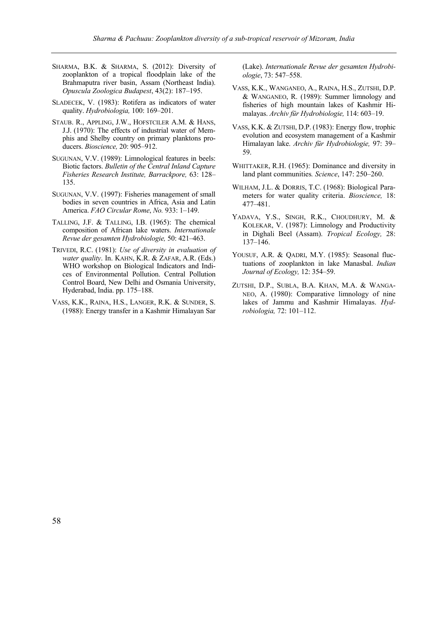- SHARMA, B.K. & SHARMA, S. (2012): Diversity of zooplankton of a tropical floodplain lake of the Brahmaputra river basin, Assam (Northeast India). *Opuscula Zoologica Budapest*, 43(2): 187–195.
- SLADECEK, V. (1983): Rotifera as indicators of water quality. *Hydrobiologia,* 100: 169–201.
- STAUB. R., APPLING, J.W., HOFSTCILER A.M. & HANS, J.J. (1970): The effects of industrial water of Memphis and Shelby country on primary planktons producers. *Bioscience,* 20: 905–912.
- SUGUNAN, V.V. (1989): Limnological features in beels: Biotic factors. *Bulletin of the Central Inland Capture Fisheries Research Institute, Barrackpore,* 63: 128– 135.
- SUGUNAN, V.V. (1997): Fisheries management of small bodies in seven countries in Africa, Asia and Latin America. *FAO Circular Rome*, *No.* 933: 1–149.
- TALLING, J.F. & TALLING, I.B. (1965): The chemical composition of African lake waters. *Internationale Revue der gesamten Hydrobiologie,* 50: 421–463.
- TRIVEDI, R.C. (1981): *Use of diversity in evaluation of water quality*. In. KAHN, K.R. & ZAFAR, A.R. (Eds.) WHO workshop on Biological Indicators and Indices of Environmental Pollution. Central Pollution Control Board, New Delhi and Osmania University, Hyderabad, India. pp. 175–188.
- VASS, K.K., RAINA, H.S., LANGER, R.K. & SUNDER, S. (1988): Energy transfer in a Kashmir Himalayan Sar

(Lake). *Internationale Revue der gesamten Hydrobiologie*, 73: 547–558.

- VASS, K.K., WANGANEO, A., RAINA, H.S., ZUTSHI, D.P. & WANGANEO, R. (1989): Summer limnology and fisheries of high mountain lakes of Kashmir Himalayas. *Archiv für Hydrobiologie,* 114: 603–19.
- VASS, K.K. & ZUTSHI, D.P. (1983): Energy flow, trophic evolution and ecosystem management of a Kashmir Himalayan lake. *Archiv für Hydrobiologie,* 97: 39– 59.
- WHITTAKER, R.H. (1965): Dominance and diversity in land plant communities*. Science*, 147: 250–260.
- WILHAM, J.L. & DORRIS, T.C. (1968): Biological Parameters for water quality criteria. *Bioscience,* 18: 477–481.
- YADAVA, Y.S., SINGH, R.K., CHOUDHURY, M. & KOLEKAR, V. (1987): Limnology and Productivity in Dighali Beel (Assam). *Tropical Ecology,* 28: 137–146.
- YOUSUF, A.R. & OADRI, M.Y. (1985): Seasonal fluctuations of zooplankton in lake Manasbal. *Indian Journal of Ecology,* 12: 354–59.
- ZUTSHI, D.P., SUBLA, B.A. KHAN, M.A. & WANGA-NEO, A. (1980): Comparative limnology of nine lakes of Jammu and Kashmir Himalayas. *Hydrobiologia,* 72: 101–112.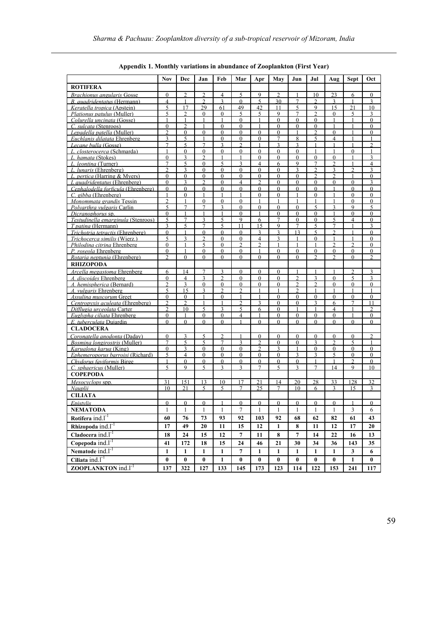|                                                                    | <b>Nov</b>                      | Dec                          | Jan                        | Feb                     | Mar                              | Apr                              | May                          | Jun                      | Jul                        | Aug                      | <b>Sept</b>              | Oct                        |
|--------------------------------------------------------------------|---------------------------------|------------------------------|----------------------------|-------------------------|----------------------------------|----------------------------------|------------------------------|--------------------------|----------------------------|--------------------------|--------------------------|----------------------------|
| <b>ROTIFERA</b>                                                    |                                 |                              |                            |                         |                                  |                                  |                              |                          |                            |                          |                          |                            |
| <b>Brachionus angularis Gosse</b>                                  | $\Omega$                        | $\overline{2}$               | $\overline{2}$             | 4                       | 5                                | 9                                | $\overline{2}$               |                          | 10                         | 23                       | 6                        | $\Omega$                   |
| B. <i>auadridentatus</i> (Hermann)                                 | $\overline{4}$                  |                              | $\mathfrak{D}$             | $\overline{\mathbf{3}}$ | $\Omega$                         | 5                                | 30                           | $\overline{7}$           | $\mathcal{D}$              | 3                        |                          | $\mathcal{E}$              |
| Keratella tropica (Apstein)                                        | $\varsigma$                     | 17                           | 29                         | 61                      | 49                               | 42                               | 11                           | $\varsigma$              | $\mathbf Q$                | 15                       | 21                       | 10                         |
| Plationus patulus (Muller)                                         | 5                               | $\overline{2}$               | $\theta$                   | $\theta$                | 5                                | 5                                | 9                            | $\overline{7}$           | $\overline{c}$             | $\Omega$                 | 5                        | 3                          |
| Colurella uncinata (Gosse)                                         |                                 |                              |                            |                         | $\theta$                         |                                  | $\theta$                     | $\theta$                 | $\theta$                   |                          |                          | $\Omega$                   |
| C. sulcata (Stenroos)                                              | $\theta$<br>$\overline{2}$      | $\mathfrak{D}$<br>$\theta$   | $\theta$                   | $\Omega$<br>$\theta$    | $\Omega$<br>$\Omega$             | $\theta$                         | $\theta$<br>$\theta$         | $\Omega$<br>$\mathbf{1}$ | $\Omega$<br>$\mathfrak{D}$ | $\theta$                 |                          | $\Omega$<br>$\theta$       |
| Lepadella patella (Muller)<br>Euchlanis dilatata Ehrenberg         | 3                               | $\overline{\phantom{0}}$     |                            | $\Omega$                | $\Omega$                         | $\theta$                         | 7                            | 8                        | 5                          | $\boldsymbol{\Delta}$    |                          |                            |
| Lecane bulla (Gosse)                                               | $\tau$                          | 5                            | $\overline{7}$             | 3                       | $\mathfrak{D}$                   |                                  | 3                            | $\mathbf{3}$             |                            | 1                        |                          | $\overline{2}$             |
| L. closterocerca (Schmarda)                                        | 1                               | $\mathbf{0}$                 | $\mathbf{0}$               | $\theta$                | $\theta$                         | $\mathbf{0}$                     | $\mathbf{0}$                 | $\mathbf{0}$             |                            |                          | $\theta$                 | 1                          |
| L. hamata (Stokes)                                                 | $\theta$                        | 3                            | $\mathfrak{D}$             |                         |                                  | $\theta$                         | $\theta$                     | $\theta$                 | $\theta$                   | $\Omega$                 |                          | 3                          |
| L. leontina (Turner)                                               | $\overline{7}$                  | 5                            | $\Omega$                   | 5                       | $\mathbf{3}$                     | $\overline{4}$                   | 6                            | 9                        | $\overline{7}$             | $\mathfrak{D}$           |                          | $\overline{\mathcal{L}}$   |
| L. lunaris (Ehrenberg)                                             | $\mathfrak{D}$                  | 3                            | $\theta$                   | $\theta$                | $\Omega$                         | $\theta$                         | $\theta$                     | $\mathbf{3}$             | $\overline{2}$             | $\mathbf{3}$             | $\mathfrak{D}$           | 3                          |
| L. pertica (Harring & Myers)                                       | $\Omega$                        | $\Omega$                     | $\theta$                   | $\Omega$                | $\Omega$                         | $\theta$                         | $\Omega$                     | $\Omega$                 | $\mathcal{D}$              | $\mathcal{D}$            |                          | $\theta$                   |
| L quadridentatus (Ehrenberg)<br>Cephalodella forficula (Ehrenberg) | $\Omega$<br>$\theta$            | $\mathcal{E}$<br>$\Omega$    | $\mathfrak{D}$<br>$\theta$ | $\Omega$<br>$\theta$    | 4<br>$\Omega$                    | $\mathfrak{D}$<br>$\theta$       | $\Omega$<br>$\theta$         | $\Omega$<br>$\theta$     | $\Omega$<br>$\theta$       | $\Omega$                 | $\Omega$<br>$\theta$     | 3<br>$\theta$              |
| C. gibba (Ehrenberg)                                               |                                 | $\Omega$                     |                            |                         |                                  | $\theta$                         | $\theta$                     |                          | $\theta$                   |                          | $\Omega$                 | $\theta$                   |
| Monommata grandis Tessin                                           | $\mathfrak{D}$                  |                              | $\Omega$                   | $\theta$                | $\theta$                         |                                  |                              |                          |                            |                          | $\theta$                 | $\Omega$                   |
| Polvarthra vulgaris Carlin                                         | 5                               | $\overline{7}$               | $\overline{7}$             | 3                       | $\Omega$                         | $\theta$                         | $\theta$                     | $\theta$                 | 5                          | $\mathcal{E}$            | $\mathbf{Q}$             | 5                          |
| Dicranophorus sp.                                                  | $\Omega$                        |                              |                            |                         | $\Omega$                         |                                  | $\theta$                     | $\theta$                 | $\Omega$                   |                          | $\Omega$                 | $\theta$                   |
| Testudinella emarginula (Stenroos)                                 | $\overline{\phantom{0}}$        | $\overline{7}$               | $\mathbf{3}$               | $\varsigma$             | $\mathbf Q$                      | 6                                | $\tau$                       | $\Omega$                 | $\Omega$                   | $\overline{5}$           | $\overline{4}$           | $\Omega$                   |
| <i>T</i> patina (Hermann)                                          | 3                               | 5                            | $\overline{7}$             | 5                       | 11                               | 15                               | 9                            | 7                        | 5                          | $\overline{7}$           |                          | 3                          |
| Trichotria tetractis (Ehrenberg)                                   | $\theta$                        |                              | $\theta$                   | 0                       | $\Omega$                         | 3                                | 3                            | 13                       | 5                          | $\mathcal{D}$            |                          | $\Omega$                   |
| Trichocerca similis (Wierz.)<br>Philodina citrina Ehrenberg        | $\varsigma$<br>$\theta$         | $\mathbf{3}$<br>$\mathbf{1}$ | $\overline{2}$<br>5        | $\Omega$<br>$\theta$    | $\Omega$<br>$\mathcal{D}$        | $\overline{4}$<br>$\overline{2}$ | $\mathbf{3}$<br>$\mathbf{1}$ |                          | $\Omega$                   | $\mathfrak{D}$           | $\mathfrak{D}$           | $\theta$<br>$\theta$       |
| P. roseola Ehrenberg                                               | $\Omega$                        |                              | $\Omega$                   | $\Omega$                | $\Omega$                         |                                  | $\theta$                     | $\Omega$                 | $\Omega$                   | $\Omega$                 | $\Omega$                 | $\theta$                   |
| Rotaria neptunia (Ehrenberg)                                       | $\mathfrak{D}$                  | $\Omega$                     | $\Omega$                   | $\Omega$                | $\Omega$                         | $\theta$                         | $\Omega$                     | $\Omega$                 | $\mathcal{D}$              | $\mathcal{D}$            | $\Omega$                 | $\mathfrak{D}$             |
| <b>RHIZOPODA</b>                                                   |                                 |                              |                            |                         |                                  |                                  |                              |                          |                            |                          |                          |                            |
| Arcella megastoma Ehrenberg                                        | 6                               | 14                           | $\overline{7}$             | $\overline{\mathbf{3}}$ | $\Omega$                         | $\Omega$                         | $\Omega$                     |                          |                            |                          | $\mathfrak{D}$           | 3                          |
| A. discoides Ehrenberg                                             | $\Omega$                        | $\overline{4}$               | 3                          | $\overline{c}$          | $\Omega$                         | $\theta$                         | $\theta$                     | $\overline{c}$           | 3                          | $\theta$                 | 5                        | 3                          |
| A. hemispherica (Bernard)                                          | $\mathcal{L}$                   | $\mathcal{E}$                | $\Omega$                   | $\Omega$                | $\Omega$                         | $\theta$                         | $\theta$                     | $\mathcal{D}$            | $\mathcal{D}$              | $\theta$                 | $\Omega$                 | $\Omega$                   |
| A. vulgaris Ehrenberg                                              | $\overline{\phantom{0}}$        | 15                           | $\mathcal{E}$              | $\mathcal{D}$           | $\mathcal{D}$                    | $\mathbf{1}$                     | $\mathbf{1}$                 | $\mathfrak{D}$           |                            | 1                        | 1                        | $\mathbf{1}$               |
| Assulina muscorum Greet                                            | $\theta$                        | $\theta$                     | 1                          | $\Omega$                | 1                                | $\overline{1}$                   | $\theta$                     | $\theta$                 | $\theta$                   | $\Omega$                 | $\theta$                 | $\theta$                   |
| Centropyxis aculeata (Ehrenberg)                                   | $\mathcal{D}$<br>$\mathfrak{D}$ | $\mathfrak{D}$               |                            | 3                       | $\mathfrak{D}$                   | $\mathbf{3}$                     | $\theta$                     | $\theta$                 | $\mathbf{3}$               | 6                        | $\overline{7}$           | 11                         |
| Difflugia urceolata Carter<br>Euglypha ciliata Ehrenberg           | $\theta$                        | 10<br>$\mathbf{1}$           | 5<br>$\Omega$              | $\theta$                | $\overline{5}$<br>$\overline{4}$ | 6<br>$\overline{1}$              | $\theta$<br>$\theta$         | $\theta$                 | $\Omega$                   | 4<br>$\Omega$            |                          | $\mathfrak{D}$<br>$\theta$ |
| E. tuberculata Dujardin                                            | $\Omega$                        | $\theta$                     | $\theta$                   | $\theta$                |                                  | $\theta$                         | $\theta$                     | $\theta$                 | $\Omega$                   | $\Omega$                 | $\theta$                 | $\theta$                   |
| <b>CLADOCERA</b>                                                   |                                 |                              |                            |                         |                                  |                                  |                              |                          |                            |                          |                          |                            |
| Coronatella anodonta (Daday)                                       | $\Omega$                        | 3                            | 5                          | $\mathfrak{D}$          |                                  | $\theta$                         | $\Omega$                     | $\theta$                 | $\Omega$                   | $\Omega$                 | $\theta$                 | $\mathfrak{D}$             |
| Bosmina longirostris (Muller)                                      | $\overline{7}$                  | 5                            | $\overline{5}$             | 7                       | $\mathcal{E}$                    | $\mathfrak{D}$                   | $\theta$                     | $\theta$                 | $\mathcal{E}$              | $\mathfrak{D}$           | $\overline{\phantom{0}}$ |                            |
| Karualona karua (King)                                             | $\theta$                        | 3                            | $\mathbf{0}$               | $\theta$                | $\Omega$                         | $\overline{2}$                   | 3                            |                          | $\mathbf{0}$               | $\Omega$                 | $\Omega$                 | $\theta$                   |
| Ephemeroporus barroisi (Richard)                                   | 5                               | $\overline{\mathcal{L}}$     | $\Omega$                   | $\Omega$                | $\Omega$                         | $\Omega$                         | $\theta$                     | $\mathbf{3}$             | $\mathbf{3}$               | $\overline{\phantom{0}}$ | $\Omega$                 | $\Omega$                   |
| Chydorus faviformis Birge                                          |                                 | $\theta$                     | $\theta$                   | $\theta$                | $\Omega$                         | $\theta$                         | $\theta$                     | $\theta$                 |                            |                          | $\mathcal{D}$            | $\Omega$                   |
| C. sphaericus (Muller)                                             | 5                               | $\mathbf Q$                  | $\overline{\phantom{0}}$   | 3                       | 3                                | 7                                | 5                            | 3                        | 7                          | 14                       | $\mathbf Q$              | 10                         |
| <b>COPEPODA</b>                                                    |                                 |                              |                            |                         |                                  |                                  |                              |                          |                            |                          |                          |                            |
| Mesocyclops spp.                                                   | 31                              | .51                          | 13                         | 10                      | 17                               | 21                               | 14                           | 20                       | 28                         | 33                       | 128                      | 32                         |
| Nauplii                                                            | 10                              | 21                           | $\overline{\phantom{0}}$   | $\varsigma$             | 7                                | 25                               | 7                            | 10                       | 6                          | 3                        | 15                       | 3                          |
| <b>CILIATA</b>                                                     |                                 |                              |                            |                         |                                  |                                  |                              |                          |                            |                          |                          |                            |
| Epistylis                                                          | $\mathbf{0}$                    | $\mathbf{0}$                 | $\mathbf{0}$               |                         | $\mathbf{0}$                     | $\mathbf{0}$                     | $\mathbf{0}$                 | $\theta$                 | $\theta$                   | $\mathbf{0}$             |                          | $\overline{0}$             |
| <b>NEMATODA</b>                                                    | $\mathbf{1}$                    | 1                            | 1                          | 1                       | 7                                | 1                                | 1                            | 1                        | 1                          | 1                        | $\overline{3}$           | 6                          |
| Rotifera $ind.l^{-1}$                                              | 60                              | 76                           | 73                         | 93                      | 92                               | 103                              | 92                           | 68                       | 62                         | 82                       | 61                       | 43                         |
| Rhizopoda ind. $l^{-1}$                                            | 17                              | 49                           | 20                         | 11                      | 15                               | 12                               | $\mathbf{1}$                 | 8                        | 11                         | 12                       | 17                       | 20                         |
| Cladocera $ind.1^{-1}$                                             | 18                              | 24                           | 15                         | 12                      | $\overline{7}$                   | 11                               | 8                            | 7                        | 14                         | 22                       | 16                       | 13                         |
| Copepoda $ind.l^{-1}$                                              | 41                              | 172                          | 18                         | 15                      | 24                               | 46                               | 21                           | 30                       | 34                         | 36                       | 143                      | 35                         |
| Nematode $ind.l^{-1}$                                              | 1                               | 1                            | 1                          | 1                       | 7                                | 1                                | 1                            | 1                        | 1                          | 1                        | $\mathbf{3}$             | 6                          |
| Ciliata ind. $l^{-1}$                                              | $\bf{0}$                        | $\bf{0}$                     | $\bf{0}$                   | 1                       | $\bf{0}$                         | $\bf{0}$                         | 0                            | 0                        | $\bf{0}$                   | $\bf{0}$                 | 1                        | $\bf{0}$                   |
| ZOOPLANKTON ind.l <sup>-1</sup>                                    | 137                             | 322                          | 127                        | 133                     | 145                              | 173                              | 123                          | 114                      | 122                        | 153                      | 241                      | 117                        |

**Appendix 1. Monthly variations in abundance of Zooplankton (First Year)**